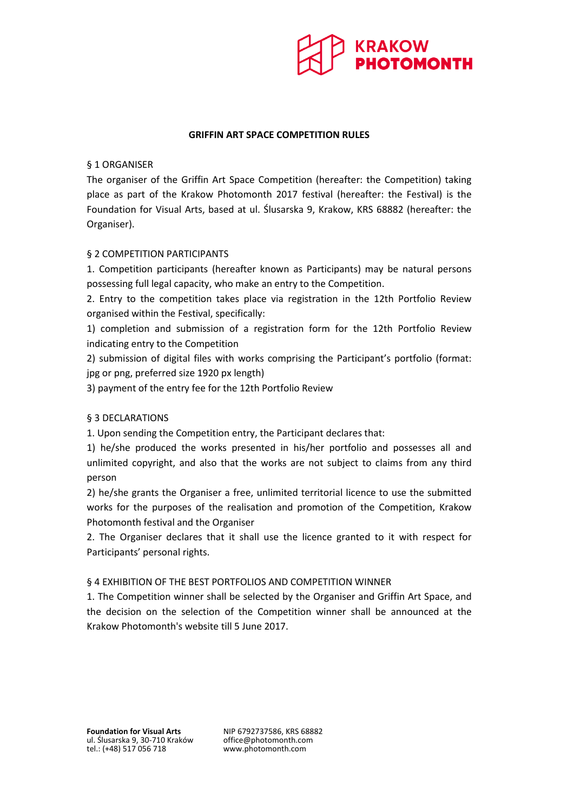

### **GRIFFIN ART SPACE COMPETITION RULES**

### § 1 ORGANISER

The organiser of the Griffin Art Space Competition (hereafter: the Competition) taking place as part of the Krakow Photomonth 2017 festival (hereafter: the Festival) is the Foundation for Visual Arts, based at ul. Ślusarska 9, Krakow, KRS 68882 (hereafter: the Organiser).

#### § 2 COMPETITION PARTICIPANTS

1. Competition participants (hereafter known as Participants) may be natural persons possessing full legal capacity, who make an entry to the Competition.

2. Entry to the competition takes place via registration in the 12th Portfolio Review organised within the Festival, specifically:

1) completion and submission of a registration form for the 12th Portfolio Review indicating entry to the Competition

2) submission of digital files with works comprising the Participant's portfolio (format: jpg or png, preferred size 1920 px length)

3) payment of the entry fee for the 12th Portfolio Review

# § 3 DECLARATIONS

1. Upon sending the Competition entry, the Participant declares that:

1) he/she produced the works presented in his/her portfolio and possesses all and unlimited copyright, and also that the works are not subject to claims from any third person

2) he/she grants the Organiser a free, unlimited territorial licence to use the submitted works for the purposes of the realisation and promotion of the Competition, Krakow Photomonth festival and the Organiser

2. The Organiser declares that it shall use the licence granted to it with respect for Participants' personal rights.

#### § 4 EXHIBITION OF THE BEST PORTFOLIOS AND COMPETITION WINNER

1. The Competition winner shall be selected by the Organiser and Griffin Art Space, and the decision on the selection of the Competition winner shall be announced at the Krakow Photomonth's website till 5 June 2017.

www.photomonth.com